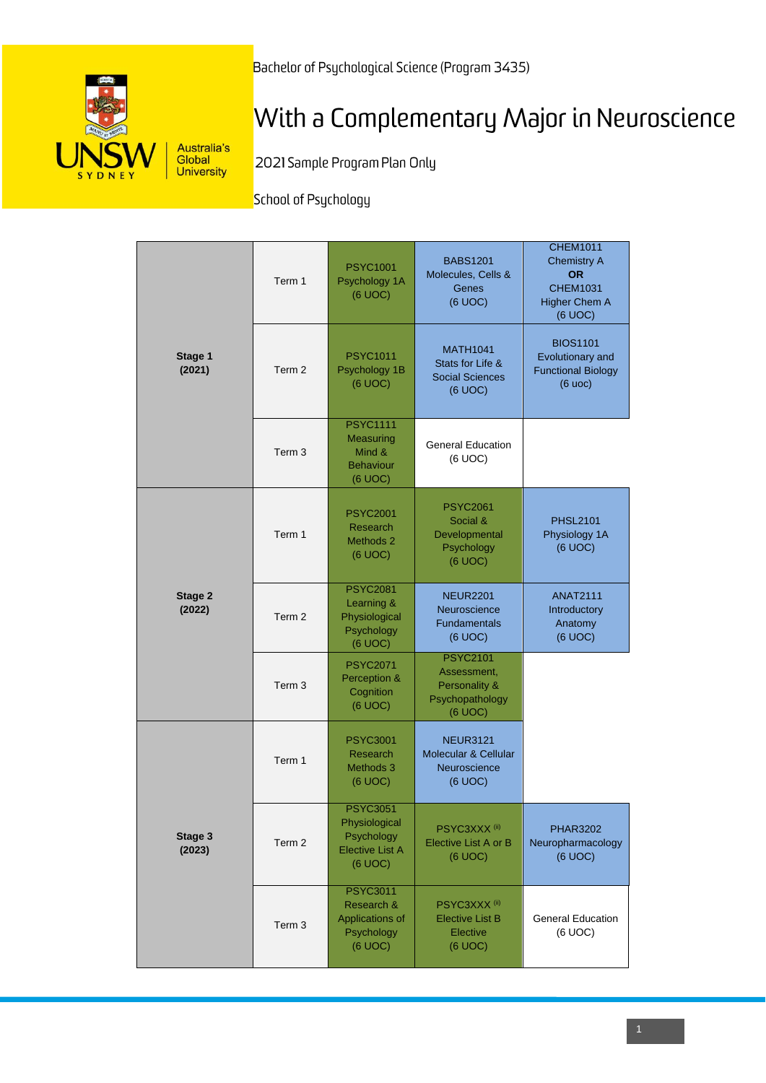Bachelor of Psychological Science (Program 3435)



# With a Complementary Major in Neuroscience

2021 Sample Program Plan Only

School of Psychology

|                   | Term 1            | <b>PSYC1001</b><br>Psychology 1A<br>(6 UOC)                                         | <b>BABS1201</b><br>Molecules, Cells &<br>Genes<br>(6 UOC)                     | <b>CHEM1011</b><br><b>Chemistry A</b><br><b>OR</b><br><b>CHEM1031</b><br><b>Higher Chem A</b><br>(6 UOC) |
|-------------------|-------------------|-------------------------------------------------------------------------------------|-------------------------------------------------------------------------------|----------------------------------------------------------------------------------------------------------|
| Stage 1<br>(2021) | Term 2            | <b>PSYC1011</b><br>Psychology 1B<br>(6 UOC)                                         | <b>MATH1041</b><br>Stats for Life &<br><b>Social Sciences</b><br>(6 UOC)      | <b>BIOS1101</b><br>Evolutionary and<br><b>Functional Biology</b><br>(6 uoc)                              |
|                   | Term <sub>3</sub> | <b>PSYC1111</b><br>Measuring<br>Mind &<br><b>Behaviour</b><br>(6 UOC)               | <b>General Education</b><br>(6 UOC)                                           |                                                                                                          |
|                   | Term 1            | <b>PSYC2001</b><br>Research<br>Methods 2<br>(6 UOC)                                 | <b>PSYC2061</b><br>Social &<br>Developmental<br>Psychology<br>(6 UOC)         | <b>PHSL2101</b><br>Physiology 1A<br>(6 UOC)                                                              |
| Stage 2<br>(2022) | Term 2            | <b>PSYC2081</b><br>Learning &<br>Physiological<br>Psychology<br>(6 UOC)             | <b>NEUR2201</b><br>Neuroscience<br><b>Fundamentals</b><br>(6 UOC)             | <b>ANAT2111</b><br>Introductory<br>Anatomy<br>(6 UOC)                                                    |
|                   | Term <sub>3</sub> | <b>PSYC2071</b><br>Perception &<br>Cognition<br>(6 UOC)                             | <b>PSYC2101</b><br>Assessment,<br>Personality &<br>Psychopathology<br>(6 UOC) |                                                                                                          |
|                   | Term 1            | <b>PSYC3001</b><br>Research<br>Methods 3<br>(6 UOC)                                 | <b>NEUR3121</b><br>Molecular & Cellular<br>Neuroscience<br>(6 UOC)            |                                                                                                          |
| Stage 3<br>(2023) | Term 2            | <b>PSYC3051</b><br>Physiological<br>Psychology<br><b>Elective List A</b><br>(6 UOC) | PSYC3XXX <sup>(ii)</sup><br>Elective List A or B<br>(6 UOC)                   | <b>PHAR3202</b><br>Neuropharmacology<br>(6 UOC)                                                          |
|                   | Term 3            | <b>PSYC3011</b><br>Research &<br>Applications of<br>Psychology<br>(6 UOC)           | PSYC3XXX <sup>(ii)</sup><br><b>Elective List B</b><br>Elective<br>(6 UOC)     | <b>General Education</b><br>(6 UOC)                                                                      |